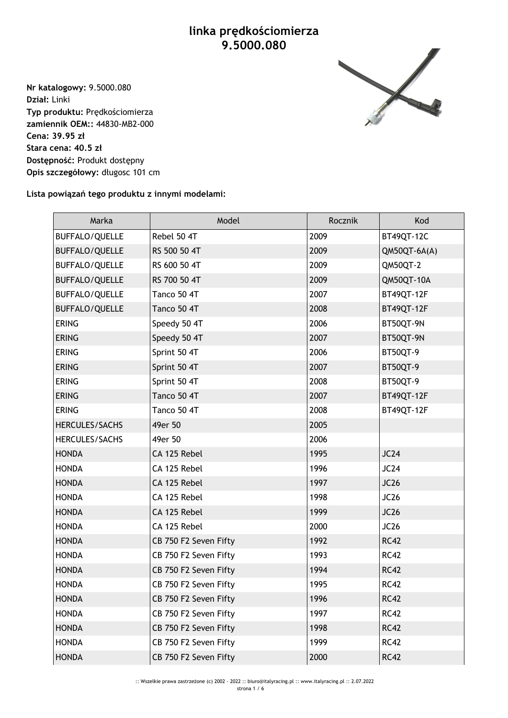## **linka prędkościomierza 9.5000.080**

**Nr katalogowy:** 9.5000.080 **Dział:** Linki **Typ produktu:** Prędkościomierza **zamiennik OEM::** 44830-MB2-000 **Cena: 39.95 zł Stara cena: 40.5 zł Dostępność:** Produkt dostępny **Opis szczegółowy:** długosc 101 cm



## **Lista powiązań tego produktu z innymi modelami:**

| Marka                 | Model                 | Rocznik | Kod              |
|-----------------------|-----------------------|---------|------------------|
| <b>BUFFALO/QUELLE</b> | Rebel 50 4T           | 2009    | BT49QT-12C       |
| BUFFALO/QUELLE        | RS 500 50 4T          | 2009    | $QM50QT-6A(A)$   |
| <b>BUFFALO/QUELLE</b> | RS 600 50 4T          | 2009    | QM50QT-2         |
| BUFFALO/QUELLE        | RS 700 50 4T          | 2009    | QM50QT-10A       |
| BUFFALO/QUELLE        | Tanco 50 4T           | 2007    | BT49QT-12F       |
| BUFFALO/QUELLE        | Tanco 50 4T           | 2008    | BT49QT-12F       |
| <b>ERING</b>          | Speedy 50 4T          | 2006    | BT50QT-9N        |
| <b>ERING</b>          | Speedy 50 4T          | 2007    | BT50QT-9N        |
| <b>ERING</b>          | Sprint 50 4T          | 2006    | BT50QT-9         |
| <b>ERING</b>          | Sprint 50 4T          | 2007    | BT50QT-9         |
| <b>ERING</b>          | Sprint 50 4T          | 2008    | BT50QT-9         |
| <b>ERING</b>          | Tanco 50 4T           | 2007    | BT49QT-12F       |
| <b>ERING</b>          | Tanco 50 4T           | 2008    | BT49QT-12F       |
| HERCULES/SACHS        | 49er 50               | 2005    |                  |
| <b>HERCULES/SACHS</b> | 49er 50               | 2006    |                  |
| <b>HONDA</b>          | CA 125 Rebel          | 1995    | JC24             |
| <b>HONDA</b>          | CA 125 Rebel          | 1996    | JC24             |
| <b>HONDA</b>          | CA 125 Rebel          | 1997    | JC26             |
| <b>HONDA</b>          | CA 125 Rebel          | 1998    | JC26             |
| <b>HONDA</b>          | CA 125 Rebel          | 1999    | JC26             |
| <b>HONDA</b>          | CA 125 Rebel          | 2000    | JC <sub>26</sub> |
| <b>HONDA</b>          | CB 750 F2 Seven Fifty | 1992    | <b>RC42</b>      |
| <b>HONDA</b>          | CB 750 F2 Seven Fifty | 1993    | <b>RC42</b>      |
| <b>HONDA</b>          | CB 750 F2 Seven Fifty | 1994    | <b>RC42</b>      |
| <b>HONDA</b>          | CB 750 F2 Seven Fifty | 1995    | <b>RC42</b>      |
| <b>HONDA</b>          | CB 750 F2 Seven Fifty | 1996    | <b>RC42</b>      |
| <b>HONDA</b>          | CB 750 F2 Seven Fifty | 1997    | <b>RC42</b>      |
| <b>HONDA</b>          | CB 750 F2 Seven Fifty | 1998    | <b>RC42</b>      |
| <b>HONDA</b>          | CB 750 F2 Seven Fifty | 1999    | <b>RC42</b>      |
| <b>HONDA</b>          | CB 750 F2 Seven Fifty | 2000    | <b>RC42</b>      |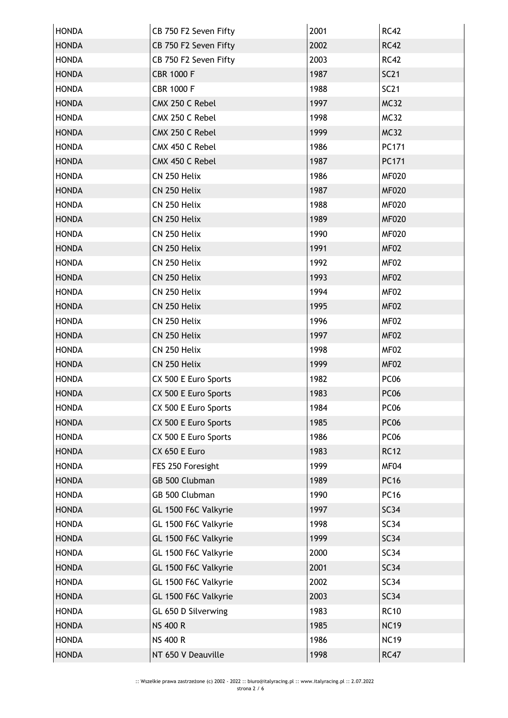| <b>HONDA</b> | CB 750 F2 Seven Fifty | 2001 | <b>RC42</b>      |
|--------------|-----------------------|------|------------------|
| <b>HONDA</b> | CB 750 F2 Seven Fifty | 2002 | <b>RC42</b>      |
| <b>HONDA</b> | CB 750 F2 Seven Fifty | 2003 | <b>RC42</b>      |
| <b>HONDA</b> | <b>CBR 1000 F</b>     | 1987 | <b>SC21</b>      |
| <b>HONDA</b> | <b>CBR 1000 F</b>     | 1988 | <b>SC21</b>      |
| <b>HONDA</b> | CMX 250 C Rebel       | 1997 | <b>MC32</b>      |
| <b>HONDA</b> | CMX 250 C Rebel       | 1998 | <b>MC32</b>      |
| <b>HONDA</b> | CMX 250 C Rebel       | 1999 | <b>MC32</b>      |
| <b>HONDA</b> | CMX 450 C Rebel       | 1986 | PC171            |
| <b>HONDA</b> | CMX 450 C Rebel       | 1987 | PC171            |
| <b>HONDA</b> | CN 250 Helix          | 1986 | <b>MF020</b>     |
| <b>HONDA</b> | CN 250 Helix          | 1987 | <b>MF020</b>     |
| <b>HONDA</b> | CN 250 Helix          | 1988 | <b>MF020</b>     |
| <b>HONDA</b> | CN 250 Helix          | 1989 | <b>MF020</b>     |
| <b>HONDA</b> | CN 250 Helix          | 1990 | <b>MF020</b>     |
| <b>HONDA</b> | CN 250 Helix          | 1991 | MF02             |
| <b>HONDA</b> | CN 250 Helix          | 1992 | MF02             |
| <b>HONDA</b> | CN 250 Helix          | 1993 | MF02             |
| <b>HONDA</b> | CN 250 Helix          | 1994 | MF02             |
| <b>HONDA</b> | CN 250 Helix          | 1995 | MF02             |
| <b>HONDA</b> | CN 250 Helix          | 1996 | MF02             |
| <b>HONDA</b> | CN 250 Helix          | 1997 | MF02             |
| <b>HONDA</b> | CN 250 Helix          | 1998 | MF02             |
| <b>HONDA</b> | CN 250 Helix          | 1999 | MF02             |
| <b>HONDA</b> | CX 500 E Euro Sports  | 1982 | <b>PC06</b>      |
| <b>HONDA</b> | CX 500 E Euro Sports  | 1983 | PC <sub>06</sub> |
| <b>HONDA</b> | CX 500 E Euro Sports  | 1984 | PC <sub>06</sub> |
| <b>HONDA</b> | CX 500 E Euro Sports  | 1985 | <b>PC06</b>      |
| <b>HONDA</b> | CX 500 E Euro Sports  | 1986 | <b>PC06</b>      |
| <b>HONDA</b> | CX 650 E Euro         | 1983 | <b>RC12</b>      |
| <b>HONDA</b> | FES 250 Foresight     | 1999 | MF04             |
| <b>HONDA</b> | GB 500 Clubman        | 1989 | <b>PC16</b>      |
| <b>HONDA</b> | GB 500 Clubman        | 1990 | <b>PC16</b>      |
| <b>HONDA</b> | GL 1500 F6C Valkyrie  | 1997 | <b>SC34</b>      |
| <b>HONDA</b> | GL 1500 F6C Valkyrie  | 1998 | SC34             |
| <b>HONDA</b> | GL 1500 F6C Valkyrie  | 1999 | SC34             |
| <b>HONDA</b> | GL 1500 F6C Valkyrie  | 2000 | SC34             |
| <b>HONDA</b> | GL 1500 F6C Valkyrie  | 2001 | SC34             |
| <b>HONDA</b> | GL 1500 F6C Valkyrie  | 2002 | SC34             |
| <b>HONDA</b> | GL 1500 F6C Valkyrie  | 2003 | <b>SC34</b>      |
| <b>HONDA</b> | GL 650 D Silverwing   | 1983 | <b>RC10</b>      |
| <b>HONDA</b> | <b>NS 400 R</b>       | 1985 | <b>NC19</b>      |
| <b>HONDA</b> | <b>NS 400 R</b>       | 1986 | <b>NC19</b>      |
| <b>HONDA</b> | NT 650 V Deauville    | 1998 | <b>RC47</b>      |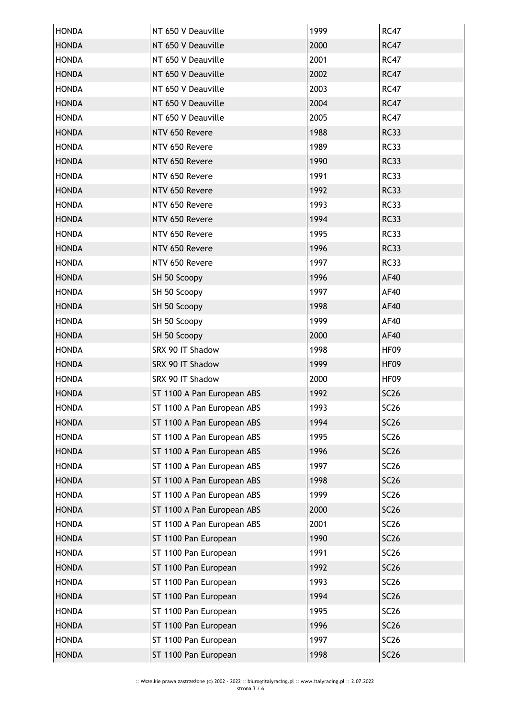| <b>HONDA</b> | NT 650 V Deauville         | 1999 | <b>RC47</b>      |
|--------------|----------------------------|------|------------------|
| <b>HONDA</b> | NT 650 V Deauville         | 2000 | <b>RC47</b>      |
| <b>HONDA</b> | NT 650 V Deauville         | 2001 | <b>RC47</b>      |
| <b>HONDA</b> | NT 650 V Deauville         | 2002 | <b>RC47</b>      |
| <b>HONDA</b> | NT 650 V Deauville         | 2003 | <b>RC47</b>      |
| <b>HONDA</b> | NT 650 V Deauville         | 2004 | <b>RC47</b>      |
| <b>HONDA</b> | NT 650 V Deauville         | 2005 | <b>RC47</b>      |
| <b>HONDA</b> | NTV 650 Revere             | 1988 | <b>RC33</b>      |
| <b>HONDA</b> | NTV 650 Revere             | 1989 | <b>RC33</b>      |
| <b>HONDA</b> | NTV 650 Revere             | 1990 | <b>RC33</b>      |
| <b>HONDA</b> | NTV 650 Revere             | 1991 | <b>RC33</b>      |
| <b>HONDA</b> | NTV 650 Revere             | 1992 | <b>RC33</b>      |
| <b>HONDA</b> | NTV 650 Revere             | 1993 | <b>RC33</b>      |
| <b>HONDA</b> | NTV 650 Revere             | 1994 | <b>RC33</b>      |
| <b>HONDA</b> | NTV 650 Revere             | 1995 | <b>RC33</b>      |
| <b>HONDA</b> | NTV 650 Revere             | 1996 | <b>RC33</b>      |
| <b>HONDA</b> | NTV 650 Revere             | 1997 | <b>RC33</b>      |
| <b>HONDA</b> | SH 50 Scoopy               | 1996 | <b>AF40</b>      |
| <b>HONDA</b> | SH 50 Scoopy               | 1997 | AF40             |
| <b>HONDA</b> | SH 50 Scoopy               | 1998 | <b>AF40</b>      |
| <b>HONDA</b> | SH 50 Scoopy               | 1999 | AF40             |
| <b>HONDA</b> | SH 50 Scoopy               | 2000 | <b>AF40</b>      |
| <b>HONDA</b> | SRX 90 IT Shadow           | 1998 | HF <sub>09</sub> |
| <b>HONDA</b> | SRX 90 IT Shadow           | 1999 | HF <sub>09</sub> |
| <b>HONDA</b> | SRX 90 IT Shadow           | 2000 | HF09             |
| <b>HONDA</b> | ST 1100 A Pan European ABS | 1992 | <b>SC26</b>      |
| <b>HONDA</b> | ST 1100 A Pan European ABS | 1993 | SC <sub>26</sub> |
| <b>HONDA</b> | ST 1100 A Pan European ABS | 1994 | <b>SC26</b>      |
| <b>HONDA</b> | ST 1100 A Pan European ABS | 1995 | <b>SC26</b>      |
| <b>HONDA</b> | ST 1100 A Pan European ABS | 1996 | <b>SC26</b>      |
| <b>HONDA</b> | ST 1100 A Pan European ABS | 1997 | <b>SC26</b>      |
| <b>HONDA</b> | ST 1100 A Pan European ABS | 1998 | <b>SC26</b>      |
| <b>HONDA</b> | ST 1100 A Pan European ABS | 1999 | SC26             |
| <b>HONDA</b> | ST 1100 A Pan European ABS | 2000 | <b>SC26</b>      |
| <b>HONDA</b> | ST 1100 A Pan European ABS | 2001 | <b>SC26</b>      |
| <b>HONDA</b> | ST 1100 Pan European       | 1990 | <b>SC26</b>      |
| <b>HONDA</b> | ST 1100 Pan European       | 1991 | <b>SC26</b>      |
| <b>HONDA</b> | ST 1100 Pan European       | 1992 | <b>SC26</b>      |
| <b>HONDA</b> | ST 1100 Pan European       | 1993 | <b>SC26</b>      |
| <b>HONDA</b> | ST 1100 Pan European       | 1994 | <b>SC26</b>      |
| <b>HONDA</b> | ST 1100 Pan European       | 1995 | <b>SC26</b>      |
| <b>HONDA</b> | ST 1100 Pan European       | 1996 | <b>SC26</b>      |
| <b>HONDA</b> | ST 1100 Pan European       | 1997 | <b>SC26</b>      |
| <b>HONDA</b> | ST 1100 Pan European       | 1998 | <b>SC26</b>      |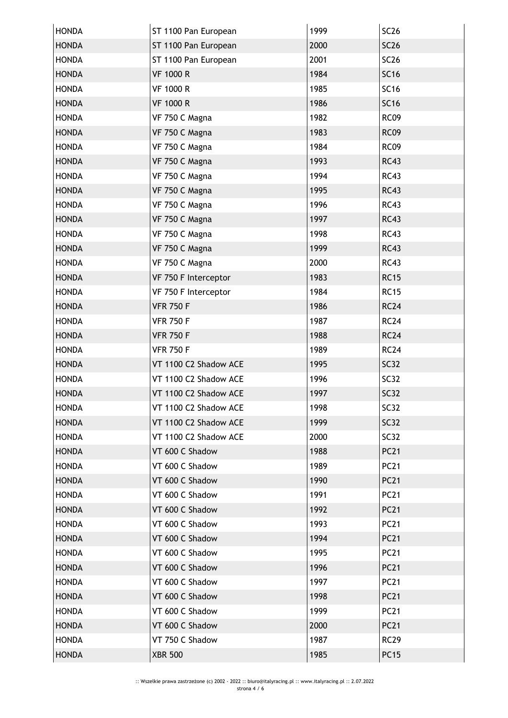| <b>HONDA</b> | ST 1100 Pan European  | 1999 | <b>SC26</b> |
|--------------|-----------------------|------|-------------|
| <b>HONDA</b> | ST 1100 Pan European  | 2000 | <b>SC26</b> |
| <b>HONDA</b> | ST 1100 Pan European  | 2001 | <b>SC26</b> |
| <b>HONDA</b> | <b>VF 1000 R</b>      | 1984 | <b>SC16</b> |
| <b>HONDA</b> | <b>VF 1000 R</b>      | 1985 | <b>SC16</b> |
| <b>HONDA</b> | <b>VF 1000 R</b>      | 1986 | <b>SC16</b> |
| <b>HONDA</b> | VF 750 C Magna        | 1982 | <b>RC09</b> |
| <b>HONDA</b> | VF 750 C Magna        | 1983 | <b>RC09</b> |
| <b>HONDA</b> | VF 750 C Magna        | 1984 | <b>RC09</b> |
| <b>HONDA</b> | VF 750 C Magna        | 1993 | <b>RC43</b> |
| <b>HONDA</b> | VF 750 C Magna        | 1994 | <b>RC43</b> |
| <b>HONDA</b> | VF 750 C Magna        | 1995 | <b>RC43</b> |
| <b>HONDA</b> | VF 750 C Magna        | 1996 | <b>RC43</b> |
| <b>HONDA</b> | VF 750 C Magna        | 1997 | <b>RC43</b> |
| <b>HONDA</b> | VF 750 C Magna        | 1998 | <b>RC43</b> |
| <b>HONDA</b> | VF 750 C Magna        | 1999 | <b>RC43</b> |
| <b>HONDA</b> | VF 750 C Magna        | 2000 | <b>RC43</b> |
| <b>HONDA</b> | VF 750 F Interceptor  | 1983 | <b>RC15</b> |
| <b>HONDA</b> | VF 750 F Interceptor  | 1984 | <b>RC15</b> |
| <b>HONDA</b> | <b>VFR 750 F</b>      | 1986 | <b>RC24</b> |
| <b>HONDA</b> | <b>VFR 750 F</b>      | 1987 | <b>RC24</b> |
| <b>HONDA</b> | <b>VFR 750 F</b>      | 1988 | <b>RC24</b> |
| <b>HONDA</b> | <b>VFR 750 F</b>      | 1989 | <b>RC24</b> |
| <b>HONDA</b> | VT 1100 C2 Shadow ACE | 1995 | <b>SC32</b> |
| <b>HONDA</b> | VT 1100 C2 Shadow ACE | 1996 | <b>SC32</b> |
| <b>HONDA</b> | VT 1100 C2 Shadow ACE | 1997 | <b>SC32</b> |
| <b>HONDA</b> | VT 1100 C2 Shadow ACE | 1998 | SC32        |
| <b>HONDA</b> | VT 1100 C2 Shadow ACE | 1999 | <b>SC32</b> |
| <b>HONDA</b> | VT 1100 C2 Shadow ACE | 2000 | <b>SC32</b> |
| <b>HONDA</b> | VT 600 C Shadow       | 1988 | <b>PC21</b> |
| <b>HONDA</b> | VT 600 C Shadow       | 1989 | <b>PC21</b> |
| <b>HONDA</b> | VT 600 C Shadow       | 1990 | <b>PC21</b> |
| <b>HONDA</b> | VT 600 C Shadow       | 1991 | <b>PC21</b> |
| <b>HONDA</b> | VT 600 C Shadow       | 1992 | <b>PC21</b> |
| <b>HONDA</b> | VT 600 C Shadow       | 1993 | <b>PC21</b> |
| <b>HONDA</b> | VT 600 C Shadow       | 1994 | <b>PC21</b> |
| <b>HONDA</b> | VT 600 C Shadow       | 1995 | <b>PC21</b> |
| <b>HONDA</b> | VT 600 C Shadow       | 1996 | <b>PC21</b> |
| <b>HONDA</b> | VT 600 C Shadow       | 1997 | <b>PC21</b> |
| <b>HONDA</b> | VT 600 C Shadow       | 1998 | <b>PC21</b> |
| <b>HONDA</b> | VT 600 C Shadow       | 1999 | <b>PC21</b> |
| <b>HONDA</b> | VT 600 C Shadow       | 2000 | <b>PC21</b> |
| <b>HONDA</b> | VT 750 C Shadow       | 1987 | <b>RC29</b> |
| <b>HONDA</b> | <b>XBR 500</b>        | 1985 | <b>PC15</b> |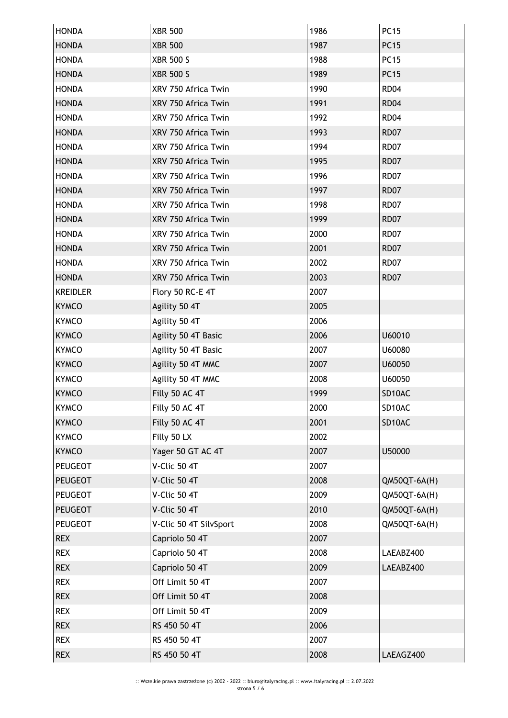| <b>HONDA</b>    | <b>XBR 500</b>         | 1986 | <b>PC15</b>  |
|-----------------|------------------------|------|--------------|
| <b>HONDA</b>    | <b>XBR 500</b>         | 1987 | <b>PC15</b>  |
| <b>HONDA</b>    | <b>XBR 500 S</b>       | 1988 | <b>PC15</b>  |
| <b>HONDA</b>    | <b>XBR 500 S</b>       | 1989 | <b>PC15</b>  |
| <b>HONDA</b>    | XRV 750 Africa Twin    | 1990 | <b>RD04</b>  |
| <b>HONDA</b>    | XRV 750 Africa Twin    | 1991 | <b>RD04</b>  |
| <b>HONDA</b>    | XRV 750 Africa Twin    | 1992 | <b>RD04</b>  |
| <b>HONDA</b>    | XRV 750 Africa Twin    | 1993 | <b>RD07</b>  |
| <b>HONDA</b>    | XRV 750 Africa Twin    | 1994 | <b>RD07</b>  |
| <b>HONDA</b>    | XRV 750 Africa Twin    | 1995 | <b>RD07</b>  |
| <b>HONDA</b>    | XRV 750 Africa Twin    | 1996 | <b>RD07</b>  |
| <b>HONDA</b>    | XRV 750 Africa Twin    | 1997 | <b>RD07</b>  |
| <b>HONDA</b>    | XRV 750 Africa Twin    | 1998 | <b>RD07</b>  |
| <b>HONDA</b>    | XRV 750 Africa Twin    | 1999 | <b>RD07</b>  |
| <b>HONDA</b>    | XRV 750 Africa Twin    | 2000 | <b>RD07</b>  |
| <b>HONDA</b>    | XRV 750 Africa Twin    | 2001 | <b>RD07</b>  |
| <b>HONDA</b>    | XRV 750 Africa Twin    | 2002 | <b>RD07</b>  |
| <b>HONDA</b>    | XRV 750 Africa Twin    | 2003 | <b>RD07</b>  |
| <b>KREIDLER</b> | Flory 50 RC-E 4T       | 2007 |              |
| <b>KYMCO</b>    | Agility 50 4T          | 2005 |              |
| <b>KYMCO</b>    | Agility 50 4T          | 2006 |              |
| <b>KYMCO</b>    | Agility 50 4T Basic    | 2006 | U60010       |
| <b>KYMCO</b>    | Agility 50 4T Basic    | 2007 | U60080       |
| <b>KYMCO</b>    | Agility 50 4T MMC      | 2007 | U60050       |
| <b>KYMCO</b>    | Agility 50 4T MMC      | 2008 | U60050       |
| <b>KYMCO</b>    | Filly 50 AC 4T         | 1999 | SD10AC       |
| <b>KYMCO</b>    | Filly 50 AC 4T         | 2000 | SD10AC       |
| <b>KYMCO</b>    | Filly 50 AC 4T         | 2001 | SD10AC       |
| <b>KYMCO</b>    | Filly 50 LX            | 2002 |              |
| <b>KYMCO</b>    | Yager 50 GT AC 4T      | 2007 | U50000       |
| <b>PEUGEOT</b>  | V-Clic 50 4T           | 2007 |              |
| <b>PEUGEOT</b>  | V-Clic 50 4T           | 2008 | QM50QT-6A(H) |
| <b>PEUGEOT</b>  | V-Clic 50 4T           | 2009 | QM50QT-6A(H) |
| <b>PEUGEOT</b>  | V-Clic 50 4T           | 2010 | QM50QT-6A(H) |
| <b>PEUGEOT</b>  | V-Clic 50 4T SilvSport | 2008 | QM50QT-6A(H) |
| <b>REX</b>      | Capriolo 50 4T         | 2007 |              |
| <b>REX</b>      | Capriolo 50 4T         | 2008 | LAEABZ400    |
| <b>REX</b>      | Capriolo 50 4T         | 2009 | LAEABZ400    |
| <b>REX</b>      | Off Limit 50 4T        | 2007 |              |
| <b>REX</b>      | Off Limit 50 4T        | 2008 |              |
| <b>REX</b>      | Off Limit 50 4T        | 2009 |              |
| <b>REX</b>      | RS 450 50 4T           | 2006 |              |
| <b>REX</b>      | RS 450 50 4T           | 2007 |              |
| <b>REX</b>      | RS 450 50 4T           | 2008 | LAEAGZ400    |